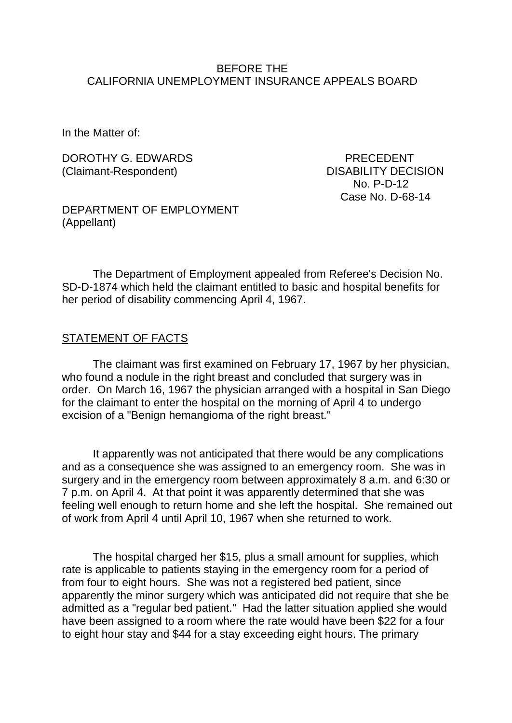#### BEFORE THE CALIFORNIA UNEMPLOYMENT INSURANCE APPEALS BOARD

In the Matter of:

DOROTHY G. EDWARDS PRECEDENT (Claimant-Respondent) DISABILITY DECISION

 No. P-D-12 Case No. D-68-14

DEPARTMENT OF EMPLOYMENT (Appellant)

The Department of Employment appealed from Referee's Decision No. SD-D-1874 which held the claimant entitled to basic and hospital benefits for her period of disability commencing April 4, 1967.

#### STATEMENT OF FACTS

The claimant was first examined on February 17, 1967 by her physician, who found a nodule in the right breast and concluded that surgery was in order. On March 16, 1967 the physician arranged with a hospital in San Diego for the claimant to enter the hospital on the morning of April 4 to undergo excision of a "Benign hemangioma of the right breast."

It apparently was not anticipated that there would be any complications and as a consequence she was assigned to an emergency room. She was in surgery and in the emergency room between approximately 8 a.m. and 6:30 or 7 p.m. on April 4. At that point it was apparently determined that she was feeling well enough to return home and she left the hospital. She remained out of work from April 4 until April 10, 1967 when she returned to work.

The hospital charged her \$15, plus a small amount for supplies, which rate is applicable to patients staying in the emergency room for a period of from four to eight hours. She was not a registered bed patient, since apparently the minor surgery which was anticipated did not require that she be admitted as a "regular bed patient." Had the latter situation applied she would have been assigned to a room where the rate would have been \$22 for a four to eight hour stay and \$44 for a stay exceeding eight hours. The primary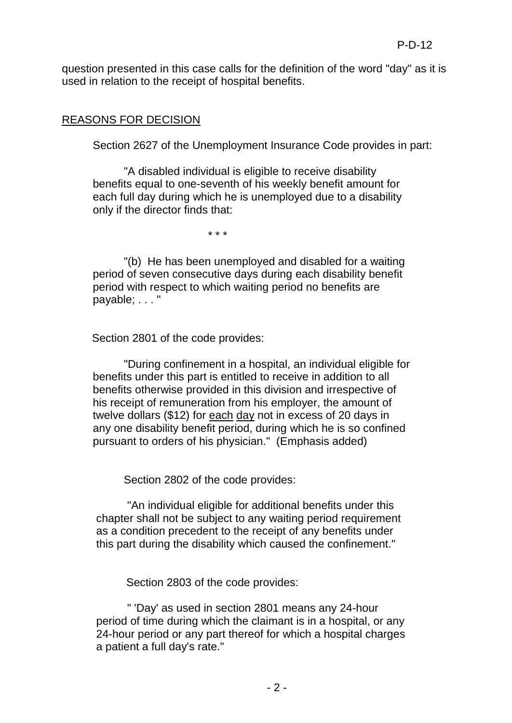question presented in this case calls for the definition of the word "day" as it is used in relation to the receipt of hospital benefits.

## REASONS FOR DECISION

Section 2627 of the Unemployment Insurance Code provides in part:

"A disabled individual is eligible to receive disability benefits equal to one-seventh of his weekly benefit amount for each full day during which he is unemployed due to a disability only if the director finds that:

\* \* \*

"(b) He has been unemployed and disabled for a waiting period of seven consecutive days during each disability benefit period with respect to which waiting period no benefits are payable; . . . "

Section 2801 of the code provides:

"During confinement in a hospital, an individual eligible for benefits under this part is entitled to receive in addition to all benefits otherwise provided in this division and irrespective of his receipt of remuneration from his employer, the amount of twelve dollars (\$12) for each day not in excess of 20 days in any one disability benefit period, during which he is so confined pursuant to orders of his physician." (Emphasis added)

Section 2802 of the code provides:

"An individual eligible for additional benefits under this chapter shall not be subject to any waiting period requirement as a condition precedent to the receipt of any benefits under this part during the disability which caused the confinement."

Section 2803 of the code provides:

" 'Day' as used in section 2801 means any 24-hour period of time during which the claimant is in a hospital, or any 24-hour period or any part thereof for which a hospital charges a patient a full day's rate."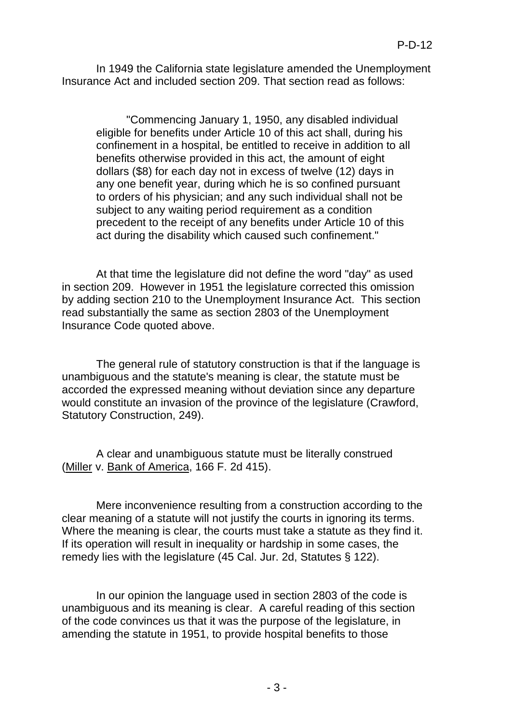In 1949 the California state legislature amended the Unemployment Insurance Act and included section 209. That section read as follows:

"Commencing January 1, 1950, any disabled individual eligible for benefits under Article 10 of this act shall, during his confinement in a hospital, be entitled to receive in addition to all benefits otherwise provided in this act, the amount of eight dollars (\$8) for each day not in excess of twelve (12) days in any one benefit year, during which he is so confined pursuant to orders of his physician; and any such individual shall not be subject to any waiting period requirement as a condition precedent to the receipt of any benefits under Article 10 of this act during the disability which caused such confinement."

At that time the legislature did not define the word "day" as used in section 209. However in 1951 the legislature corrected this omission by adding section 210 to the Unemployment Insurance Act. This section read substantially the same as section 2803 of the Unemployment Insurance Code quoted above.

The general rule of statutory construction is that if the language is unambiguous and the statute's meaning is clear, the statute must be accorded the expressed meaning without deviation since any departure would constitute an invasion of the province of the legislature (Crawford, Statutory Construction, 249).

A clear and unambiguous statute must be literally construed (Miller v. Bank of America, 166 F. 2d 415).

Mere inconvenience resulting from a construction according to the clear meaning of a statute will not justify the courts in ignoring its terms. Where the meaning is clear, the courts must take a statute as they find it. If its operation will result in inequality or hardship in some cases, the remedy lies with the legislature (45 Cal. Jur. 2d, Statutes § 122).

In our opinion the language used in section 2803 of the code is unambiguous and its meaning is clear. A careful reading of this section of the code convinces us that it was the purpose of the legislature, in amending the statute in 1951, to provide hospital benefits to those